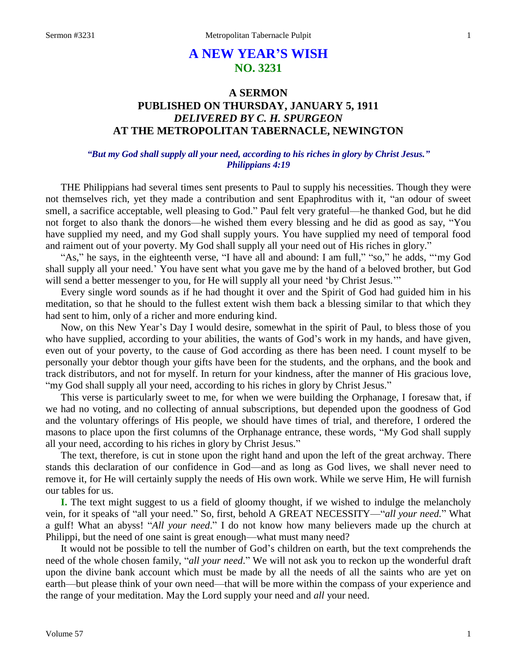# **A NEW YEAR'S WISH NO. 3231**

## **A SERMON PUBLISHED ON THURSDAY, JANUARY 5, 1911** *DELIVERED BY C. H. SPURGEON* **AT THE METROPOLITAN TABERNACLE, NEWINGTON**

#### *"But my God shall supply all your need, according to his riches in glory by Christ Jesus." Philippians 4:19*

THE Philippians had several times sent presents to Paul to supply his necessities. Though they were not themselves rich, yet they made a contribution and sent Epaphroditus with it, "an odour of sweet smell, a sacrifice acceptable, well pleasing to God." Paul felt very grateful—he thanked God, but he did not forget to also thank the donors—he wished them every blessing and he did as good as say, "You have supplied my need, and my God shall supply yours. You have supplied my need of temporal food and raiment out of your poverty. My God shall supply all your need out of His riches in glory."

"As," he says, in the eighteenth verse, "I have all and abound: I am full," "so," he adds, ""my God shall supply all your need.' You have sent what you gave me by the hand of a beloved brother, but God will send a better messenger to you, for He will supply all your need 'by Christ Jesus.'"

Every single word sounds as if he had thought it over and the Spirit of God had guided him in his meditation, so that he should to the fullest extent wish them back a blessing similar to that which they had sent to him, only of a richer and more enduring kind.

Now, on this New Year's Day I would desire, somewhat in the spirit of Paul, to bless those of you who have supplied, according to your abilities, the wants of God's work in my hands, and have given, even out of your poverty, to the cause of God according as there has been need. I count myself to be personally your debtor though your gifts have been for the students, and the orphans, and the book and track distributors, and not for myself. In return for your kindness, after the manner of His gracious love, "my God shall supply all your need, according to his riches in glory by Christ Jesus."

This verse is particularly sweet to me, for when we were building the Orphanage, I foresaw that, if we had no voting, and no collecting of annual subscriptions, but depended upon the goodness of God and the voluntary offerings of His people, we should have times of trial, and therefore, I ordered the masons to place upon the first columns of the Orphanage entrance, these words, "My God shall supply all your need, according to his riches in glory by Christ Jesus."

The text, therefore, is cut in stone upon the right hand and upon the left of the great archway. There stands this declaration of our confidence in God—and as long as God lives, we shall never need to remove it, for He will certainly supply the needs of His own work. While we serve Him, He will furnish our tables for us.

**I.** The text might suggest to us a field of gloomy thought, if we wished to indulge the melancholy vein, for it speaks of "all your need." So, first, behold A GREAT NECESSITY—"*all your need.*" What a gulf! What an abyss! "*All your need*." I do not know how many believers made up the church at Philippi, but the need of one saint is great enough—what must many need?

It would not be possible to tell the number of God's children on earth, but the text comprehends the need of the whole chosen family, "*all your need*." We will not ask you to reckon up the wonderful draft upon the divine bank account which must be made by all the needs of all the saints who are yet on earth—but please think of your own need—that will be more within the compass of your experience and the range of your meditation. May the Lord supply your need and *all* your need.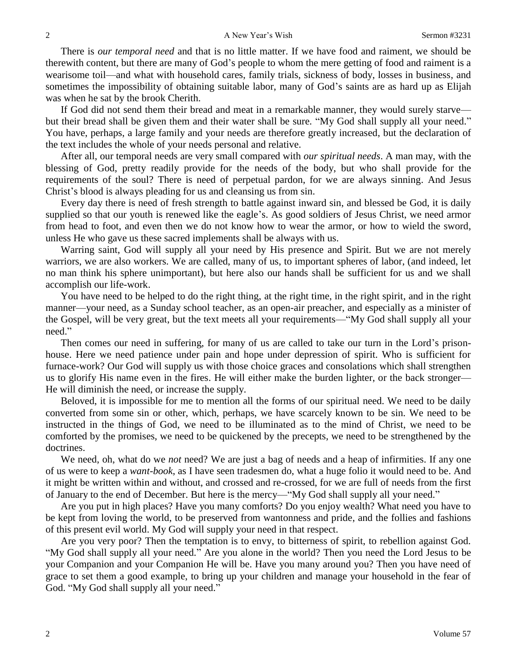There is *our temporal need* and that is no little matter. If we have food and raiment, we should be therewith content, but there are many of God's people to whom the mere getting of food and raiment is a wearisome toil—and what with household cares, family trials, sickness of body, losses in business, and sometimes the impossibility of obtaining suitable labor, many of God's saints are as hard up as Elijah was when he sat by the brook Cherith.

If God did not send them their bread and meat in a remarkable manner, they would surely starve but their bread shall be given them and their water shall be sure. "My God shall supply all your need." You have, perhaps, a large family and your needs are therefore greatly increased, but the declaration of the text includes the whole of your needs personal and relative.

After all, our temporal needs are very small compared with *our spiritual needs*. A man may, with the blessing of God, pretty readily provide for the needs of the body, but who shall provide for the requirements of the soul? There is need of perpetual pardon, for we are always sinning. And Jesus Christ's blood is always pleading for us and cleansing us from sin.

Every day there is need of fresh strength to battle against inward sin, and blessed be God, it is daily supplied so that our youth is renewed like the eagle's. As good soldiers of Jesus Christ, we need armor from head to foot, and even then we do not know how to wear the armor, or how to wield the sword, unless He who gave us these sacred implements shall be always with us.

Warring saint, God will supply all your need by His presence and Spirit. But we are not merely warriors, we are also workers. We are called, many of us, to important spheres of labor, (and indeed, let no man think his sphere unimportant), but here also our hands shall be sufficient for us and we shall accomplish our life-work.

You have need to be helped to do the right thing, at the right time, in the right spirit, and in the right manner—your need, as a Sunday school teacher, as an open-air preacher, and especially as a minister of the Gospel, will be very great, but the text meets all your requirements—"My God shall supply all your need."

Then comes our need in suffering, for many of us are called to take our turn in the Lord's prisonhouse. Here we need patience under pain and hope under depression of spirit. Who is sufficient for furnace-work? Our God will supply us with those choice graces and consolations which shall strengthen us to glorify His name even in the fires. He will either make the burden lighter, or the back stronger— He will diminish the need, or increase the supply.

Beloved, it is impossible for me to mention all the forms of our spiritual need. We need to be daily converted from some sin or other, which, perhaps, we have scarcely known to be sin. We need to be instructed in the things of God, we need to be illuminated as to the mind of Christ, we need to be comforted by the promises, we need to be quickened by the precepts, we need to be strengthened by the doctrines.

We need, oh, what do we *not* need? We are just a bag of needs and a heap of infirmities. If any one of us were to keep a *want-book*, as I have seen tradesmen do, what a huge folio it would need to be. And it might be written within and without, and crossed and re-crossed, for we are full of needs from the first of January to the end of December. But here is the mercy—"My God shall supply all your need."

Are you put in high places? Have you many comforts? Do you enjoy wealth? What need you have to be kept from loving the world, to be preserved from wantonness and pride, and the follies and fashions of this present evil world. My God will supply your need in that respect.

Are you very poor? Then the temptation is to envy, to bitterness of spirit, to rebellion against God. "My God shall supply all your need." Are you alone in the world? Then you need the Lord Jesus to be your Companion and your Companion He will be. Have you many around you? Then you have need of grace to set them a good example, to bring up your children and manage your household in the fear of God. "My God shall supply all your need."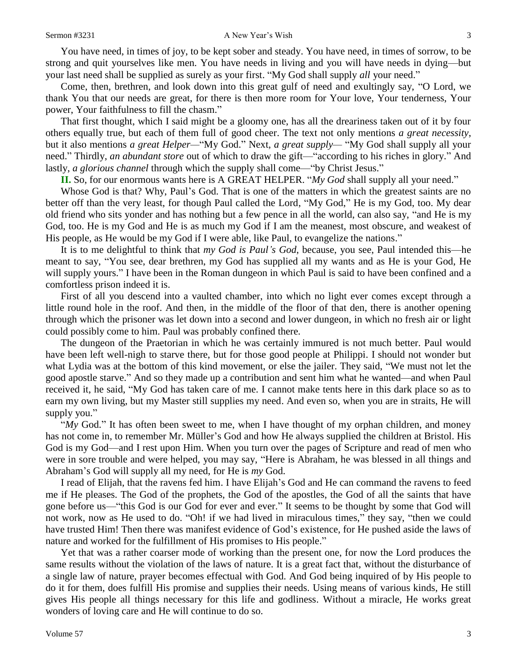You have need, in times of joy, to be kept sober and steady. You have need, in times of sorrow, to be strong and quit yourselves like men. You have needs in living and you will have needs in dying—but your last need shall be supplied as surely as your first. "My God shall supply *all* your need."

Come, then, brethren, and look down into this great gulf of need and exultingly say, "O Lord, we thank You that our needs are great, for there is then more room for Your love, Your tenderness, Your power, Your faithfulness to fill the chasm."

That first thought, which I said might be a gloomy one, has all the dreariness taken out of it by four others equally true, but each of them full of good cheer. The text not only mentions *a great necessity*, but it also mentions *a great Helper—*"My God." Next, *a great supply—* "My God shall supply all your need." Thirdly, *an abundant store* out of which to draw the gift—"according to his riches in glory." And lastly, *a glorious channel* through which the supply shall come—"by Christ Jesus."

**II.** So, for our enormous wants here is A GREAT HELPER. "*My God* shall supply all your need."

Whose God is that? Why, Paul's God. That is one of the matters in which the greatest saints are no better off than the very least, for though Paul called the Lord, "My God," He is my God, too. My dear old friend who sits yonder and has nothing but a few pence in all the world, can also say, "and He is my God, too. He is my God and He is as much my God if I am the meanest, most obscure, and weakest of His people, as He would be my God if I were able, like Paul, to evangelize the nations."

It is to me delightful to think that *my God is Paul's God*, because, you see, Paul intended this—he meant to say, "You see, dear brethren, my God has supplied all my wants and as He is your God, He will supply yours." I have been in the Roman dungeon in which Paul is said to have been confined and a comfortless prison indeed it is.

First of all you descend into a vaulted chamber, into which no light ever comes except through a little round hole in the roof. And then, in the middle of the floor of that den, there is another opening through which the prisoner was let down into a second and lower dungeon, in which no fresh air or light could possibly come to him. Paul was probably confined there.

The dungeon of the Praetorian in which he was certainly immured is not much better. Paul would have been left well-nigh to starve there, but for those good people at Philippi. I should not wonder but what Lydia was at the bottom of this kind movement, or else the jailer. They said, "We must not let the good apostle starve." And so they made up a contribution and sent him what he wanted—and when Paul received it, he said, "My God has taken care of me. I cannot make tents here in this dark place so as to earn my own living, but my Master still supplies my need. And even so, when you are in straits, He will supply you."

"*My* God." It has often been sweet to me, when I have thought of my orphan children, and money has not come in, to remember Mr. Müller's God and how He always supplied the children at Bristol. His God is my God—and I rest upon Him. When you turn over the pages of Scripture and read of men who were in sore trouble and were helped, you may say, "Here is Abraham, he was blessed in all things and Abraham's God will supply all my need, for He is *my* God.

I read of Elijah, that the ravens fed him. I have Elijah's God and He can command the ravens to feed me if He pleases. The God of the prophets, the God of the apostles, the God of all the saints that have gone before us—"this God is our God for ever and ever." It seems to be thought by some that God will not work, now as He used to do. "Oh! if we had lived in miraculous times," they say, "then we could have trusted Him! Then there was manifest evidence of God's existence, for He pushed aside the laws of nature and worked for the fulfillment of His promises to His people."

Yet that was a rather coarser mode of working than the present one, for now the Lord produces the same results without the violation of the laws of nature. It is a great fact that, without the disturbance of a single law of nature, prayer becomes effectual with God. And God being inquired of by His people to do it for them, does fulfill His promise and supplies their needs. Using means of various kinds, He still gives His people all things necessary for this life and godliness. Without a miracle, He works great wonders of loving care and He will continue to do so.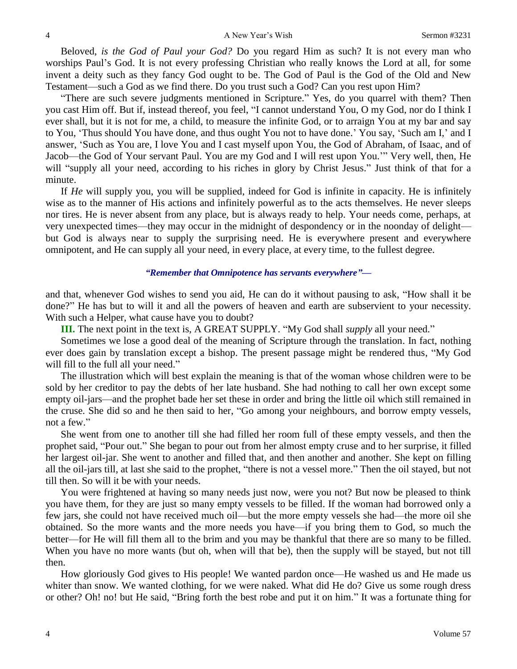Beloved, *is the God of Paul your God?* Do you regard Him as such? It is not every man who worships Paul's God. It is not every professing Christian who really knows the Lord at all, for some invent a deity such as they fancy God ought to be. The God of Paul is the God of the Old and New Testament—such a God as we find there. Do you trust such a God? Can you rest upon Him?

"There are such severe judgments mentioned in Scripture." Yes, do you quarrel with them? Then you cast Him off. But if, instead thereof, you feel, "I cannot understand You, O my God, nor do I think I ever shall, but it is not for me, a child, to measure the infinite God, or to arraign You at my bar and say to You, 'Thus should You have done, and thus ought You not to have done.' You say, 'Such am I,' and I answer, 'Such as You are, I love You and I cast myself upon You, the God of Abraham, of Isaac, and of Jacob—the God of Your servant Paul. You are my God and I will rest upon You.'" Very well, then, He will "supply all your need, according to his riches in glory by Christ Jesus." Just think of that for a minute.

If *He* will supply you, you will be supplied, indeed for God is infinite in capacity. He is infinitely wise as to the manner of His actions and infinitely powerful as to the acts themselves. He never sleeps nor tires. He is never absent from any place, but is always ready to help. Your needs come, perhaps, at very unexpected times—they may occur in the midnight of despondency or in the noonday of delight but God is always near to supply the surprising need. He is everywhere present and everywhere omnipotent, and He can supply all your need, in every place, at every time, to the fullest degree.

*"Remember that Omnipotence has servants everywhere"—*

and that, whenever God wishes to send you aid, He can do it without pausing to ask, "How shall it be done?" He has but to will it and all the powers of heaven and earth are subservient to your necessity. With such a Helper, what cause have you to doubt?

**III.** The next point in the text is, A GREAT SUPPLY. "My God shall *supply* all your need."

Sometimes we lose a good deal of the meaning of Scripture through the translation. In fact, nothing ever does gain by translation except a bishop. The present passage might be rendered thus, "My God will fill to the full all your need."

The illustration which will best explain the meaning is that of the woman whose children were to be sold by her creditor to pay the debts of her late husband. She had nothing to call her own except some empty oil-jars—and the prophet bade her set these in order and bring the little oil which still remained in the cruse. She did so and he then said to her, "Go among your neighbours, and borrow empty vessels, not a few."

She went from one to another till she had filled her room full of these empty vessels, and then the prophet said, "Pour out." She began to pour out from her almost empty cruse and to her surprise, it filled her largest oil-jar. She went to another and filled that, and then another and another. She kept on filling all the oil-jars till, at last she said to the prophet, "there is not a vessel more." Then the oil stayed, but not till then. So will it be with your needs.

You were frightened at having so many needs just now, were you not? But now be pleased to think you have them, for they are just so many empty vessels to be filled. If the woman had borrowed only a few jars, she could not have received much oil—but the more empty vessels she had—the more oil she obtained. So the more wants and the more needs you have—if you bring them to God, so much the better—for He will fill them all to the brim and you may be thankful that there are so many to be filled. When you have no more wants (but oh, when will that be), then the supply will be stayed, but not till then.

How gloriously God gives to His people! We wanted pardon once—He washed us and He made us whiter than snow. We wanted clothing, for we were naked. What did He do? Give us some rough dress or other? Oh! no! but He said, "Bring forth the best robe and put it on him." It was a fortunate thing for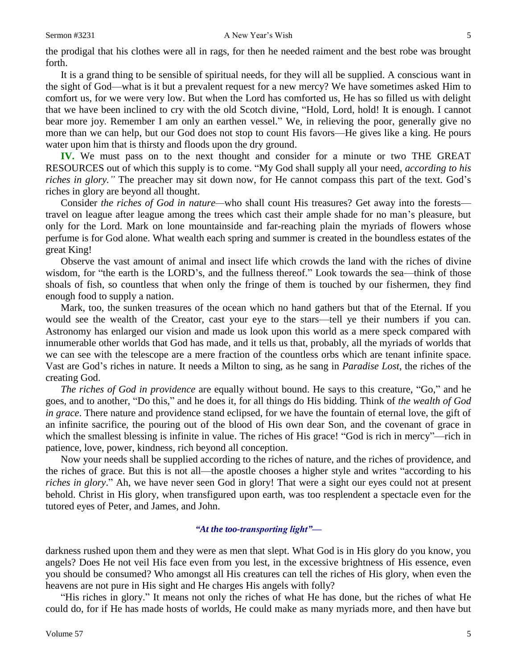the prodigal that his clothes were all in rags, for then he needed raiment and the best robe was brought forth.

It is a grand thing to be sensible of spiritual needs, for they will all be supplied. A conscious want in the sight of God—what is it but a prevalent request for a new mercy? We have sometimes asked Him to comfort us, for we were very low. But when the Lord has comforted us, He has so filled us with delight that we have been inclined to cry with the old Scotch divine, "Hold, Lord, hold! It is enough. I cannot bear more joy. Remember I am only an earthen vessel." We, in relieving the poor, generally give no more than we can help, but our God does not stop to count His favors—He gives like a king. He pours water upon him that is thirsty and floods upon the dry ground.

**IV.** We must pass on to the next thought and consider for a minute or two THE GREAT RESOURCES out of which this supply is to come. "My God shall supply all your need, *according to his riches in glory."* The preacher may sit down now, for He cannot compass this part of the text. God's riches in glory are beyond all thought.

Consider *the riches of God in nature—*who shall count His treasures? Get away into the forests travel on league after league among the trees which cast their ample shade for no man's pleasure, but only for the Lord. Mark on lone mountainside and far-reaching plain the myriads of flowers whose perfume is for God alone. What wealth each spring and summer is created in the boundless estates of the great King!

Observe the vast amount of animal and insect life which crowds the land with the riches of divine wisdom, for "the earth is the LORD's, and the fullness thereof." Look towards the sea—think of those shoals of fish, so countless that when only the fringe of them is touched by our fishermen, they find enough food to supply a nation.

Mark, too, the sunken treasures of the ocean which no hand gathers but that of the Eternal. If you would see the wealth of the Creator, cast your eye to the stars—tell ye their numbers if you can. Astronomy has enlarged our vision and made us look upon this world as a mere speck compared with innumerable other worlds that God has made, and it tells us that, probably, all the myriads of worlds that we can see with the telescope are a mere fraction of the countless orbs which are tenant infinite space. Vast are God's riches in nature. It needs a Milton to sing, as he sang in *Paradise Lost*, the riches of the creating God.

*The riches of God in providence* are equally without bound. He says to this creature, "Go," and he goes, and to another, "Do this," and he does it, for all things do His bidding. Think of *the wealth of God in grace*. There nature and providence stand eclipsed, for we have the fountain of eternal love, the gift of an infinite sacrifice, the pouring out of the blood of His own dear Son, and the covenant of grace in which the smallest blessing is infinite in value. The riches of His grace! "God is rich in mercy"—rich in patience, love, power, kindness, rich beyond all conception.

Now your needs shall be supplied according to the riches of nature, and the riches of providence, and the riches of grace. But this is not all—the apostle chooses a higher style and writes "according to his *riches in glory*." Ah, we have never seen God in glory! That were a sight our eyes could not at present behold. Christ in His glory, when transfigured upon earth, was too resplendent a spectacle even for the tutored eyes of Peter, and James, and John.

### *"At the too-transporting light"—*

darkness rushed upon them and they were as men that slept. What God is in His glory do you know, you angels? Does He not veil His face even from you lest, in the excessive brightness of His essence, even you should be consumed? Who amongst all His creatures can tell the riches of His glory, when even the heavens are not pure in His sight and He charges His angels with folly?

"His riches in glory." It means not only the riches of what He has done, but the riches of what He could do, for if He has made hosts of worlds, He could make as many myriads more, and then have but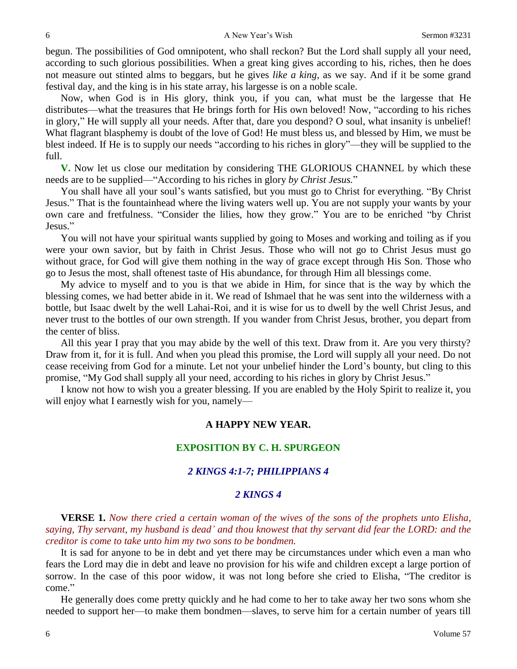begun. The possibilities of God omnipotent, who shall reckon? But the Lord shall supply all your need, according to such glorious possibilities. When a great king gives according to his, riches, then he does not measure out stinted alms to beggars, but he gives *like a king*, as we say. And if it be some grand festival day, and the king is in his state array, his largesse is on a noble scale.

Now, when God is in His glory, think you, if you can, what must be the largesse that He distributes—what the treasures that He brings forth for His own beloved! Now, "according to his riches in glory," He will supply all your needs. After that, dare you despond? O soul, what insanity is unbelief! What flagrant blasphemy is doubt of the love of God! He must bless us, and blessed by Him, we must be blest indeed. If He is to supply our needs "according to his riches in glory"—they will be supplied to the full.

**V.** Now let us close our meditation by considering THE GLORIOUS CHANNEL by which these needs are to be supplied—"According to his riches in glory *by Christ Jesus.*"

You shall have all your soul's wants satisfied, but you must go to Christ for everything. "By Christ Jesus." That is the fountainhead where the living waters well up. You are not supply your wants by your own care and fretfulness. "Consider the lilies, how they grow." You are to be enriched "by Christ Jesus."

You will not have your spiritual wants supplied by going to Moses and working and toiling as if you were your own savior, but by faith in Christ Jesus. Those who will not go to Christ Jesus must go without grace, for God will give them nothing in the way of grace except through His Son. Those who go to Jesus the most, shall oftenest taste of His abundance, for through Him all blessings come.

My advice to myself and to you is that we abide in Him, for since that is the way by which the blessing comes, we had better abide in it. We read of Ishmael that he was sent into the wilderness with a bottle, but Isaac dwelt by the well Lahai-Roi, and it is wise for us to dwell by the well Christ Jesus, and never trust to the bottles of our own strength. If you wander from Christ Jesus, brother, you depart from the center of bliss.

All this year I pray that you may abide by the well of this text. Draw from it. Are you very thirsty? Draw from it, for it is full. And when you plead this promise, the Lord will supply all your need. Do not cease receiving from God for a minute. Let not your unbelief hinder the Lord's bounty, but cling to this promise, "My God shall supply all your need, according to his riches in glory by Christ Jesus."

I know not how to wish you a greater blessing. If you are enabled by the Holy Spirit to realize it, you will enjoy what I earnestly wish for you, namely—

### **A HAPPY NEW YEAR.**

#### **EXPOSITION BY C. H. SPURGEON**

#### *2 KINGS 4:1-7; PHILIPPIANS 4*

#### *2 KINGS 4*

**VERSE 1.** *Now there cried a certain woman of the wives of the sons of the prophets unto Elisha, saying, Thy servant, my husband is dead' and thou knowest that thy servant did fear the LORD: and the creditor is come to take unto him my two sons to be bondmen.* 

It is sad for anyone to be in debt and yet there may be circumstances under which even a man who fears the Lord may die in debt and leave no provision for his wife and children except a large portion of sorrow. In the case of this poor widow, it was not long before she cried to Elisha, "The creditor is come."

He generally does come pretty quickly and he had come to her to take away her two sons whom she needed to support her—to make them bondmen—slaves, to serve him for a certain number of years till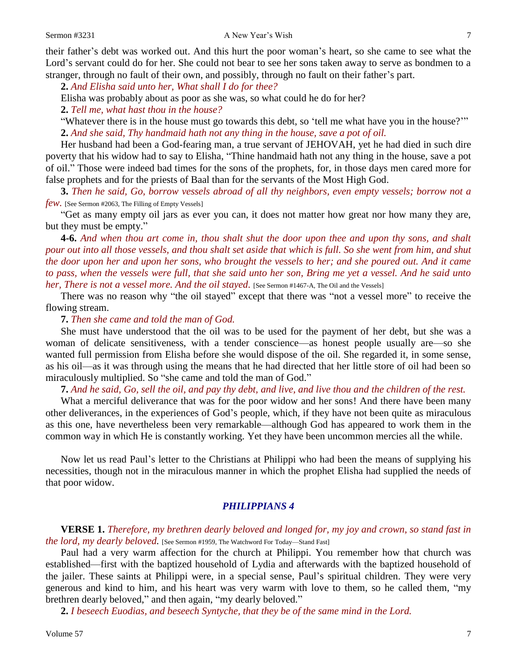their father's debt was worked out. And this hurt the poor woman's heart, so she came to see what the Lord's servant could do for her. She could not bear to see her sons taken away to serve as bondmen to a stranger, through no fault of their own, and possibly, through no fault on their father's part.

**2.** *And Elisha said unto her, What shall I do for thee?* 

Elisha was probably about as poor as she was, so what could he do for her?

**2.** *Tell me, what hast thou in the house?* 

"Whatever there is in the house must go towards this debt, so 'tell me what have you in the house?'" **2.** *And she said, Thy handmaid hath not any thing in the house, save a pot of oil.* 

Her husband had been a God-fearing man, a true servant of JEHOVAH, yet he had died in such dire poverty that his widow had to say to Elisha, "Thine handmaid hath not any thing in the house, save a pot of oil." Those were indeed bad times for the sons of the prophets, for, in those days men cared more for false prophets and for the priests of Baal than for the servants of the Most High God.

**3.** *Then he said, Go, borrow vessels abroad of all thy neighbors, even empty vessels; borrow not a few.* [See Sermon #2063, The Filling of Empty Vessels]

"Get as many empty oil jars as ever you can, it does not matter how great nor how many they are, but they must be empty."

**4-6.** *And when thou art come in, thou shalt shut the door upon thee and upon thy sons, and shalt pour out into all those vessels, and thou shalt set aside that which is full. So she went from him, and shut the door upon her and upon her sons, who brought the vessels to her; and she poured out. And it came to pass, when the vessels were full, that she said unto her son, Bring me yet a vessel. And he said unto her, There is not a vessel more. And the oil stayed.* [See Sermon #1467-A, The Oil and the Vessels]

There was no reason why "the oil stayed" except that there was "not a vessel more" to receive the flowing stream.

**7.** *Then she came and told the man of God.* 

She must have understood that the oil was to be used for the payment of her debt, but she was a woman of delicate sensitiveness, with a tender conscience—as honest people usually are—so she wanted full permission from Elisha before she would dispose of the oil. She regarded it, in some sense, as his oil—as it was through using the means that he had directed that her little store of oil had been so miraculously multiplied. So "she came and told the man of God."

**7.** *And he said, Go, sell the oil, and pay thy debt, and live, and live thou and the children of the rest.* 

What a merciful deliverance that was for the poor widow and her sons! And there have been many other deliverances, in the experiences of God's people, which, if they have not been quite as miraculous as this one, have nevertheless been very remarkable—although God has appeared to work them in the common way in which He is constantly working. Yet they have been uncommon mercies all the while.

Now let us read Paul's letter to the Christians at Philippi who had been the means of supplying his necessities, though not in the miraculous manner in which the prophet Elisha had supplied the needs of that poor widow.

#### *PHILIPPIANS 4*

**VERSE 1.** *Therefore, my brethren dearly beloved and longed for, my joy and crown, so stand fast in the lord, my dearly beloved.* [See Sermon #1959, The Watchword For Today—Stand Fast]

Paul had a very warm affection for the church at Philippi. You remember how that church was established—first with the baptized household of Lydia and afterwards with the baptized household of the jailer. These saints at Philippi were, in a special sense, Paul's spiritual children. They were very generous and kind to him, and his heart was very warm with love to them, so he called them, "my brethren dearly beloved," and then again, "my dearly beloved."

**2.** *I beseech Euodias, and beseech Syntyche, that they be of the same mind in the Lord.*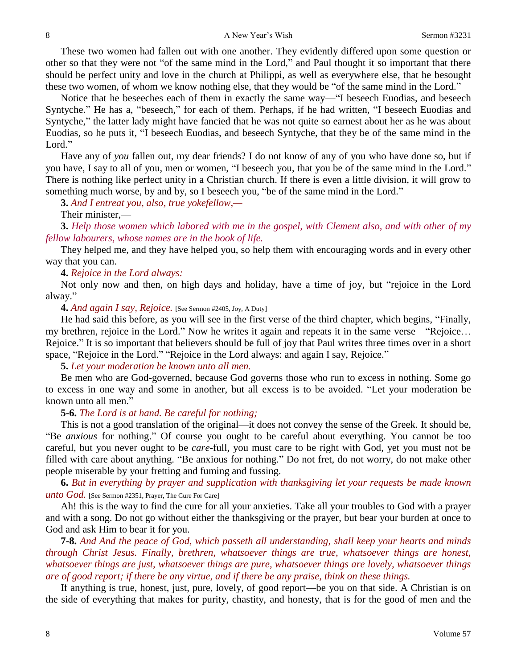These two women had fallen out with one another. They evidently differed upon some question or other so that they were not "of the same mind in the Lord," and Paul thought it so important that there should be perfect unity and love in the church at Philippi, as well as everywhere else, that he besought these two women, of whom we know nothing else, that they would be "of the same mind in the Lord."

Notice that he beseeches each of them in exactly the same way—"I beseech Euodias, and beseech Syntyche." He has a, "beseech," for each of them. Perhaps, if he had written, "I beseech Euodias and Syntyche," the latter lady might have fancied that he was not quite so earnest about her as he was about Euodias, so he puts it, "I beseech Euodias, and beseech Syntyche, that they be of the same mind in the Lord."

Have any of *you* fallen out, my dear friends? I do not know of any of you who have done so, but if you have, I say to all of you, men or women, "I beseech you, that you be of the same mind in the Lord." There is nothing like perfect unity in a Christian church. If there is even a little division, it will grow to something much worse, by and by, so I beseech you, "be of the same mind in the Lord."

**3.** *And I entreat you, also, true yokefellow,—*

Their minister,—

**3.** *Help those women which labored with me in the gospel, with Clement also, and with other of my fellow labourers, whose names are in the book of life.*

They helped me, and they have helped you, so help them with encouraging words and in every other way that you can.

**4.** *Rejoice in the Lord always:*

Not only now and then, on high days and holiday, have a time of joy, but "rejoice in the Lord alway."

**4.** *And again I say, Rejoice.* [See Sermon #2405, Joy, A Duty]

He had said this before, as you will see in the first verse of the third chapter, which begins, "Finally, my brethren, rejoice in the Lord." Now he writes it again and repeats it in the same verse—"Rejoice… Rejoice." It is so important that believers should be full of joy that Paul writes three times over in a short space, "Rejoice in the Lord." "Rejoice in the Lord always: and again I say, Rejoice."

**5.** *Let your moderation be known unto all men.* 

Be men who are God-governed, because God governs those who run to excess in nothing. Some go to excess in one way and some in another, but all excess is to be avoided. "Let your moderation be known unto all men."

**5-6.** *The Lord is at hand. Be careful for nothing;*

This is not a good translation of the original—it does not convey the sense of the Greek. It should be, "Be *anxious* for nothing." Of course you ought to be careful about everything. You cannot be too careful, but you never ought to be *care*-full, you must care to be right with God, yet you must not be filled with care about anything. "Be anxious for nothing." Do not fret, do not worry, do not make other people miserable by your fretting and fuming and fussing.

**6.** *But in everything by prayer and supplication with thanksgiving let your requests be made known unto God.* [See Sermon #2351, Prayer, The Cure For Care]

Ah! this is the way to find the cure for all your anxieties. Take all your troubles to God with a prayer and with a song. Do not go without either the thanksgiving or the prayer, but bear your burden at once to God and ask Him to bear it for you.

**7-8.** *And And the peace of God, which passeth all understanding, shall keep your hearts and minds through Christ Jesus. Finally, brethren, whatsoever things are true, whatsoever things are honest, whatsoever things are just, whatsoever things are pure, whatsoever things are lovely, whatsoever things are of good report; if there be any virtue, and if there be any praise, think on these things.*

If anything is true, honest, just, pure, lovely, of good report—be you on that side. A Christian is on the side of everything that makes for purity, chastity, and honesty, that is for the good of men and the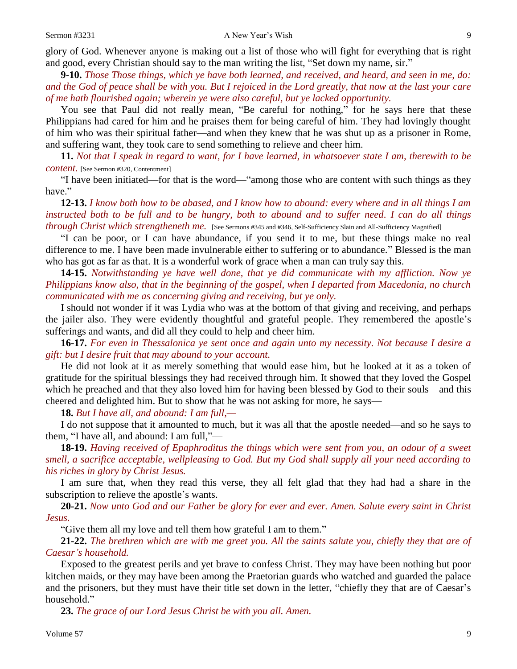glory of God. Whenever anyone is making out a list of those who will fight for everything that is right and good, every Christian should say to the man writing the list, "Set down my name, sir."

**9-10.** *Those Those things, which ye have both learned, and received, and heard, and seen in me, do: and the God of peace shall be with you. But I rejoiced in the Lord greatly, that now at the last your care of me hath flourished again; wherein ye were also careful, but ye lacked opportunity.*

You see that Paul did not really mean, "Be careful for nothing," for he says here that these Philippians had cared for him and he praises them for being careful of him. They had lovingly thought of him who was their spiritual father—and when they knew that he was shut up as a prisoner in Rome, and suffering want, they took care to send something to relieve and cheer him.

**11.** *Not that I speak in regard to want, for I have learned, in whatsoever state I am, therewith to be content.* [See Sermon #320, Contentment]

"I have been initiated—for that is the word—"among those who are content with such things as they have."

**12-13.** *I know both how to be abased, and I know how to abound: every where and in all things I am instructed both to be full and to be hungry, both to abound and to suffer need. I can do all things through Christ which strengtheneth me.* [See Sermons #345 and #346, Self-Sufficiency Slain and All-Sufficiency Magnified]

"I can be poor, or I can have abundance, if you send it to me, but these things make no real difference to me. I have been made invulnerable either to suffering or to abundance." Blessed is the man who has got as far as that. It is a wonderful work of grace when a man can truly say this.

**14-15.** *Notwithstanding ye have well done, that ye did communicate with my affliction. Now ye Philippians know also, that in the beginning of the gospel, when I departed from Macedonia, no church communicated with me as concerning giving and receiving, but ye only.*

I should not wonder if it was Lydia who was at the bottom of that giving and receiving, and perhaps the jailer also. They were evidently thoughtful and grateful people. They remembered the apostle's sufferings and wants, and did all they could to help and cheer him.

**16-17.** *For even in Thessalonica ye sent once and again unto my necessity. Not because I desire a gift: but I desire fruit that may abound to your account.*

He did not look at it as merely something that would ease him, but he looked at it as a token of gratitude for the spiritual blessings they had received through him. It showed that they loved the Gospel which he preached and that they also loved him for having been blessed by God to their souls—and this cheered and delighted him. But to show that he was not asking for more, he says—

**18.** *But I have all, and abound: I am full,—*

I do not suppose that it amounted to much, but it was all that the apostle needed—and so he says to them, "I have all, and abound: I am full,"—

**18-19.** *Having received of Epaphroditus the things which were sent from you, an odour of a sweet smell, a sacrifice acceptable, wellpleasing to God. But my God shall supply all your need according to his riches in glory by Christ Jesus.*

I am sure that, when they read this verse, they all felt glad that they had had a share in the subscription to relieve the apostle's wants.

**20-21.** *Now unto God and our Father be glory for ever and ever. Amen. Salute every saint in Christ Jesus.* 

"Give them all my love and tell them how grateful I am to them."

**21-22.** *The brethren which are with me greet you. All the saints salute you, chiefly they that are of Caesar's household.* 

Exposed to the greatest perils and yet brave to confess Christ. They may have been nothing but poor kitchen maids, or they may have been among the Praetorian guards who watched and guarded the palace and the prisoners, but they must have their title set down in the letter, "chiefly they that are of Caesar's household."

**23.** *The grace of our Lord Jesus Christ be with you all. Amen.*